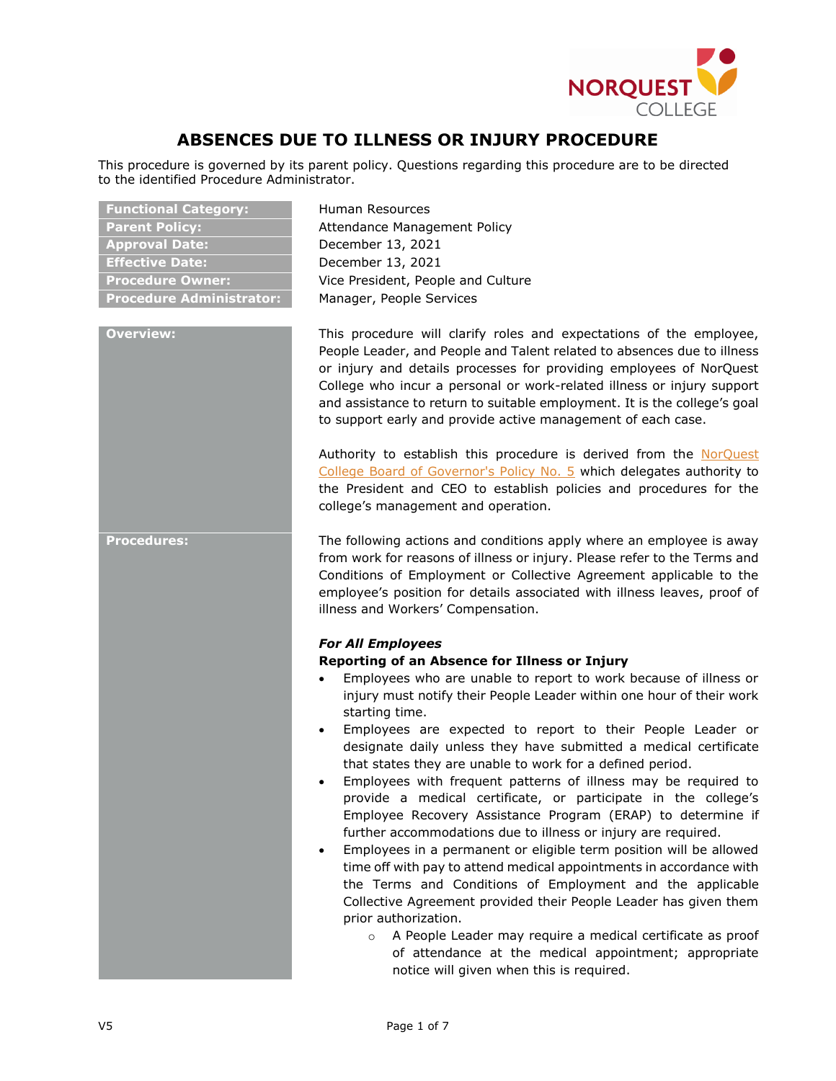

# **ABSENCES DUE TO ILLNESS OR INJURY PROCEDURE**

This procedure is governed by its parent policy. Questions regarding this procedure are to be directed to the identified Procedure Administrator.

| <b>Functional Category:</b>     |
|---------------------------------|
| <b>Parent Policy:</b>           |
| <b>Approval Date:</b>           |
| <b>Effective Date:</b>          |
| <b>Procedure Owner:</b>         |
| <b>Procedure Administrator:</b> |

**Functional Category:** Human Resources Attendance Management Policy **Approval Date:** December 13, 2021 **Effective Date:** December 13, 2021 Vice President, People and Culture **Manager, People Services** 

**Overview:** This procedure will clarify roles and expectations of the employee, People Leader, and People and Talent related to absences due to illness or injury and details processes for providing employees of NorQuest College who incur a personal or work-related illness or injury support and assistance to return to suitable employment. It is the college's goal to support early and provide active management of each case.

> Authority to establish this procedure is derived from the [NorQuest](https://www.norquest.ca/NorquestCollege/media/pdf/about-us/board/policies-procedures/05-Board-Policy_Delegate_authority_to_President.pdf)  [College Board of Governor's Policy No. 5](https://www.norquest.ca/NorquestCollege/media/pdf/about-us/board/policies-procedures/05-Board-Policy_Delegate_authority_to_President.pdf) which delegates authority to the President and CEO to establish policies and procedures for the college's management and operation.

**Procedures:** The following actions and conditions apply where an employee is away from work for reasons of illness or injury. Please refer to the Terms and Conditions of Employment or Collective Agreement applicable to the employee's position for details associated with illness leaves, proof of illness and Workers' Compensation.

### *For All Employees*

### **Reporting of an Absence for Illness or Injury**

- Employees who are unable to report to work because of illness or injury must notify their People Leader within one hour of their work starting time.
- Employees are expected to report to their People Leader or designate daily unless they have submitted a medical certificate that states they are unable to work for a defined period.
- Employees with frequent patterns of illness may be required to provide a medical certificate, or participate in the college's Employee Recovery Assistance Program (ERAP) to determine if further accommodations due to illness or injury are required.
- Employees in a permanent or eligible term position will be allowed time off with pay to attend medical appointments in accordance with the Terms and Conditions of Employment and the applicable Collective Agreement provided their People Leader has given them prior authorization.
	- o A People Leader may require a medical certificate as proof of attendance at the medical appointment; appropriate notice will given when this is required.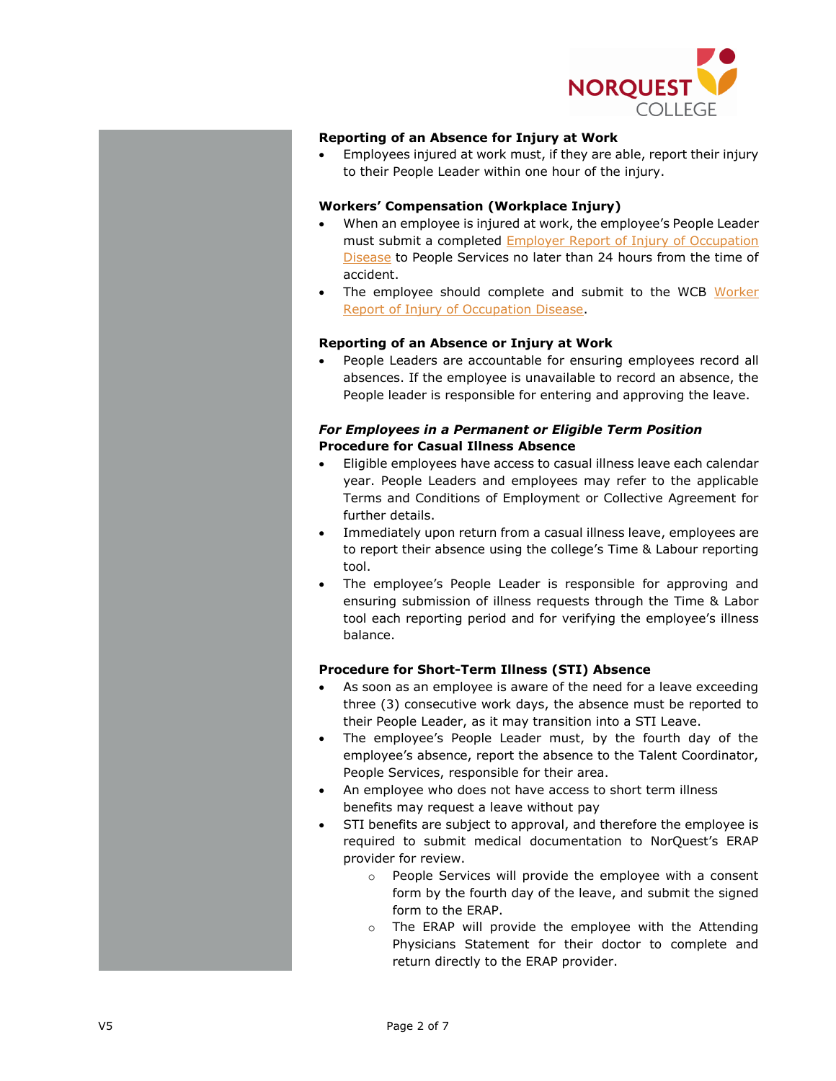

## **Reporting of an Absence for Injury at Work**

• Employees injured at work must, if they are able, report their injury to their People Leader within one hour of the injury.

## **Workers' Compensation (Workplace Injury)**

- When an employee is injured at work, the employee's People Leader must submit a completed [Employer Report of Injury of Occupation](https://www.wcb.ab.ca/assets/pdfs/workers/c060_with_instructions.pdf)  [Disease](https://www.wcb.ab.ca/assets/pdfs/workers/c060_with_instructions.pdf) to People Services no later than 24 hours from the time of accident.
- The employee should complete and submit to the WCB Worker [Report of Injury of Occupation Disease.](https://www.wcb.ab.ca/assets/pdfs/workers/c060_with_instructions.pdf)

## **Reporting of an Absence or Injury at Work**

People Leaders are accountable for ensuring employees record all absences. If the employee is unavailable to record an absence, the People leader is responsible for entering and approving the leave.

## *For Employees in a Permanent or Eligible Term Position* **Procedure for Casual Illness Absence**

- Eligible employees have access to casual illness leave each calendar year. People Leaders and employees may refer to the applicable Terms and Conditions of Employment or Collective Agreement for further details.
- Immediately upon return from a casual illness leave, employees are to report their absence using the college's Time & Labour reporting tool.
- The employee's People Leader is responsible for approving and ensuring submission of illness requests through the Time & Labor tool each reporting period and for verifying the employee's illness balance.

# **Procedure for Short-Term Illness (STI) Absence**

- As soon as an employee is aware of the need for a leave exceeding three (3) consecutive work days, the absence must be reported to their People Leader, as it may transition into a STI Leave.
- The employee's People Leader must, by the fourth day of the employee's absence, report the absence to the Talent Coordinator, People Services, responsible for their area.
- An employee who does not have access to short term illness benefits may request a leave without pay
- STI benefits are subject to approval, and therefore the employee is required to submit medical documentation to NorQuest's ERAP provider for review.
	- o People Services will provide the employee with a consent form by the fourth day of the leave, and submit the signed form to the ERAP.
	- o The ERAP will provide the employee with the Attending Physicians Statement for their doctor to complete and return directly to the ERAP provider.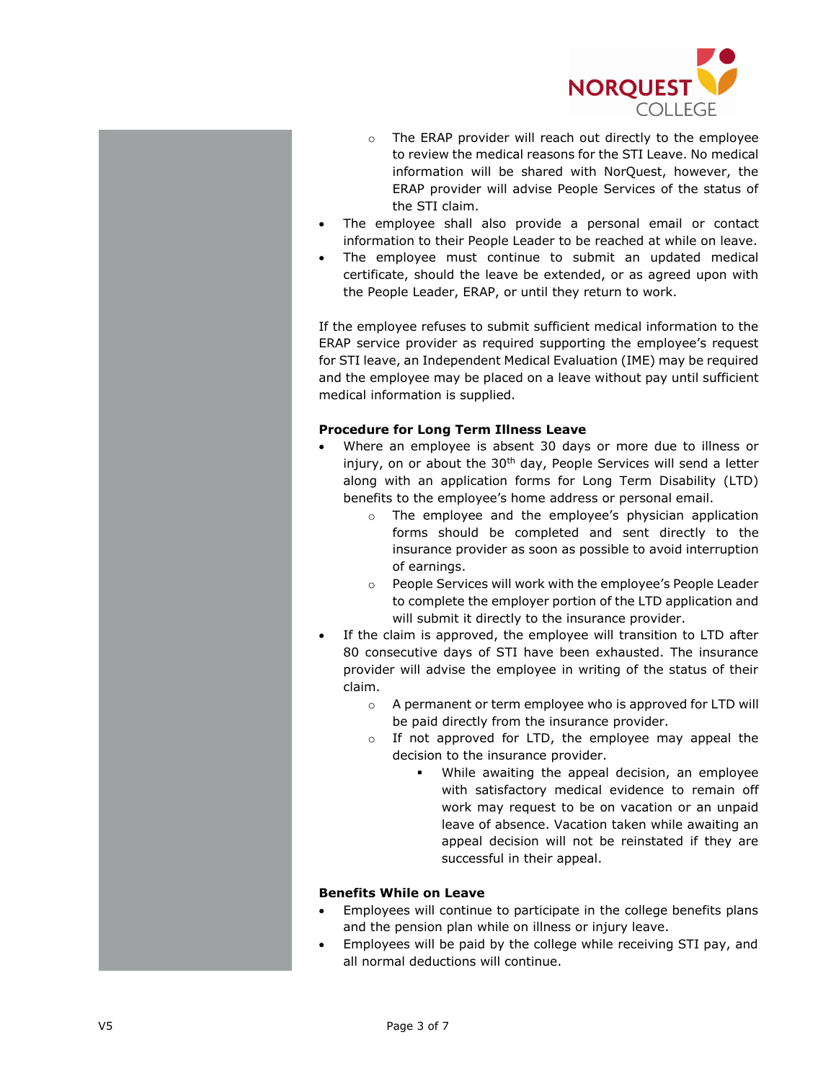

- o The ERAP provider will reach out directly to the employee to review the medical reasons for the STI Leave. No medical information will be shared with NorQuest, however, the ERAP provider will advise People Services of the status of the STI claim.
- The employee shall also provide a personal email or contact information to their People Leader to be reached at while on leave.
- The employee must continue to submit an updated medical certificate, should the leave be extended, or as agreed upon with the People Leader, ERAP, or until they return to work.

If the employee refuses to submit sufficient medical information to the ERAP service provider as required supporting the employee's request for STI leave, an Independent Medical Evaluation (IME) may be required and the employee may be placed on a leave without pay until sufficient medical information is supplied.

### **Procedure for Long Term Illness Leave**

- Where an employee is absent 30 days or more due to illness or injury, on or about the 30<sup>th</sup> day, People Services will send a letter along with an application forms for Long Term Disability (LTD) benefits to the employee's home address or personal email.
	- o The employee and the employee's physician application forms should be completed and sent directly to the insurance provider as soon as possible to avoid interruption of earnings.
	- o People Services will work with the employee's People Leader to complete the employer portion of the LTD application and will submit it directly to the insurance provider.
- If the claim is approved, the employee will transition to LTD after 80 consecutive days of STI have been exhausted. The insurance provider will advise the employee in writing of the status of their claim.
	- o A permanent or term employee who is approved for LTD will be paid directly from the insurance provider.
	- o If not approved for LTD, the employee may appeal the decision to the insurance provider.
		- While awaiting the appeal decision, an employee with satisfactory medical evidence to remain off work may request to be on vacation or an unpaid leave of absence. Vacation taken while awaiting an appeal decision will not be reinstated if they are successful in their appeal.

# **Benefits While on Leave**

- Employees will continue to participate in the college benefits plans and the pension plan while on illness or injury leave.
- Employees will be paid by the college while receiving STI pay, and all normal deductions will continue.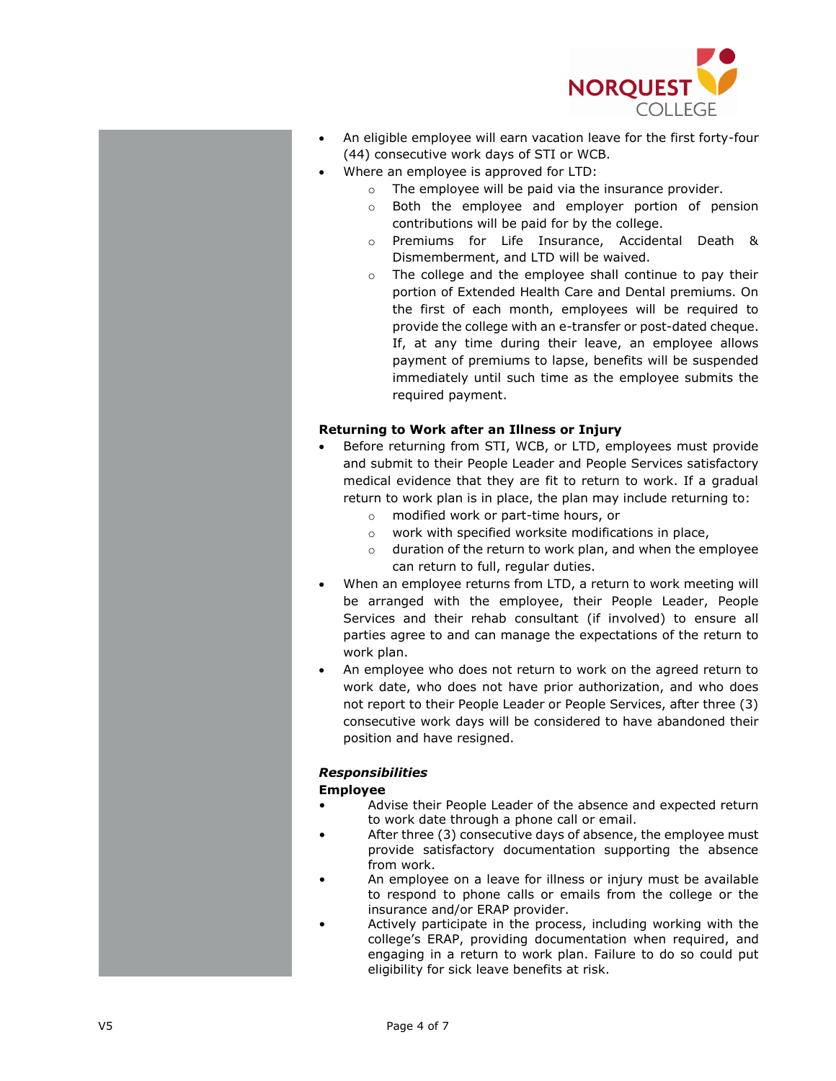

- An eligible employee will earn vacation leave for the first forty-four (44) consecutive work days of STI or WCB.
- Where an employee is approved for LTD:
	- o The employee will be paid via the insurance provider.
	- o Both the employee and employer portion of pension contributions will be paid for by the college.
	- o Premiums for Life Insurance, Accidental Death & Dismemberment, and LTD will be waived.
	- o The college and the employee shall continue to pay their portion of Extended Health Care and Dental premiums. On the first of each month, employees will be required to provide the college with an e-transfer or post-dated cheque. If, at any time during their leave, an employee allows payment of premiums to lapse, benefits will be suspended immediately until such time as the employee submits the required payment.

#### **Returning to Work after an Illness or Injury**

- Before returning from STI, WCB, or LTD, employees must provide and submit to their People Leader and People Services satisfactory medical evidence that they are fit to return to work. If a gradual return to work plan is in place, the plan may include returning to:
	- o modified work or part-time hours, or
	- o work with specified worksite modifications in place,
	- o duration of the return to work plan, and when the employee can return to full, regular duties.
- When an employee returns from LTD, a return to work meeting will be arranged with the employee, their People Leader, People Services and their rehab consultant (if involved) to ensure all parties agree to and can manage the expectations of the return to work plan.
- An employee who does not return to work on the agreed return to work date, who does not have prior authorization, and who does not report to their People Leader or People Services, after three (3) consecutive work days will be considered to have abandoned their position and have resigned.

## *Responsibilities*

#### **Employee**

- Advise their People Leader of the absence and expected return to work date through a phone call or email.
- After three (3) consecutive days of absence, the employee must provide satisfactory documentation supporting the absence from work.
- An employee on a leave for illness or injury must be available to respond to phone calls or emails from the college or the insurance and/or ERAP provider.
- Actively participate in the process, including working with the college's ERAP, providing documentation when required, and engaging in a return to work plan. Failure to do so could put eligibility for sick leave benefits at risk.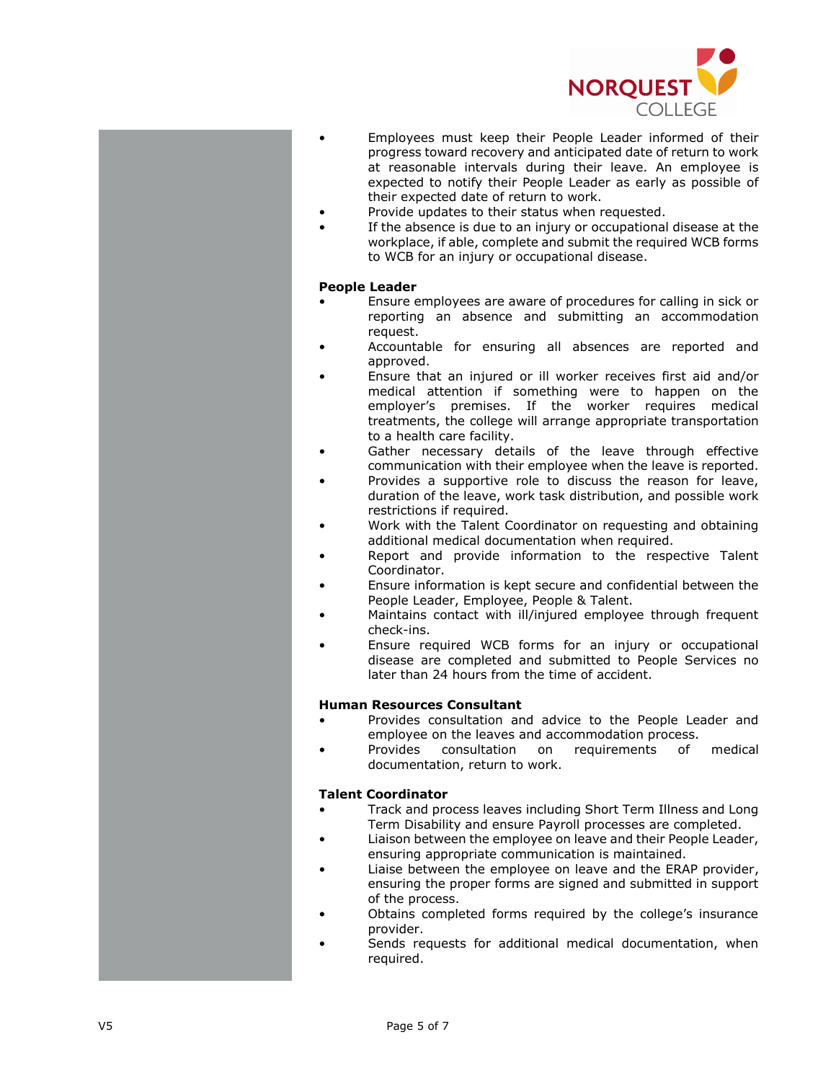

- Employees must keep their People Leader informed of their progress toward recovery and anticipated date of return to work at reasonable intervals during their leave. An employee is expected to notify their People Leader as early as possible of their expected date of return to work.
- Provide updates to their status when requested.
- If the absence is due to an injury or occupational disease at the workplace, if able, complete and submit the required WCB forms to WCB for an injury or occupational disease.

#### **People Leader**

- Ensure employees are aware of procedures for calling in sick or reporting an absence and submitting an accommodation request.
- Accountable for ensuring all absences are reported and approved.
- Ensure that an injured or ill worker receives first aid and/or medical attention if something were to happen on the employer's premises. If the worker requires medical treatments, the college will arrange appropriate transportation to a health care facility.
- Gather necessary details of the leave through effective communication with their employee when the leave is reported.
- Provides a supportive role to discuss the reason for leave, duration of the leave, work task distribution, and possible work restrictions if required.
- Work with the Talent Coordinator on requesting and obtaining additional medical documentation when required.
- Report and provide information to the respective Talent Coordinator.
- Ensure information is kept secure and confidential between the People Leader, Employee, People & Talent.
- Maintains contact with ill/injured employee through frequent check -ins.
- Ensure required WCB forms for an injury or occupational disease are completed and submitted to People Services no later than 24 hours from the time of accident.

#### **Human Resources Consultant**

- Provides consultation and advice to the People Leader and employee on the leaves and accommodation process.
- Provides consultation on requirements of medical documentation, return to work.

#### **Talent Coordinator**

- Track and process leaves including Short Term Illness and Long Term Disability and ensure Payroll processes are completed.
- Liaison between the employee on leave and their People Leader, ensuring appropriate communication is maintained.
- Liaise between the employee on leave and the ERAP provider, ensuring the proper forms are signed and submitted in support of the process .
- Obtains completed forms required by the college's insurance provider.
- Sends requests for additional medical documentation, when required .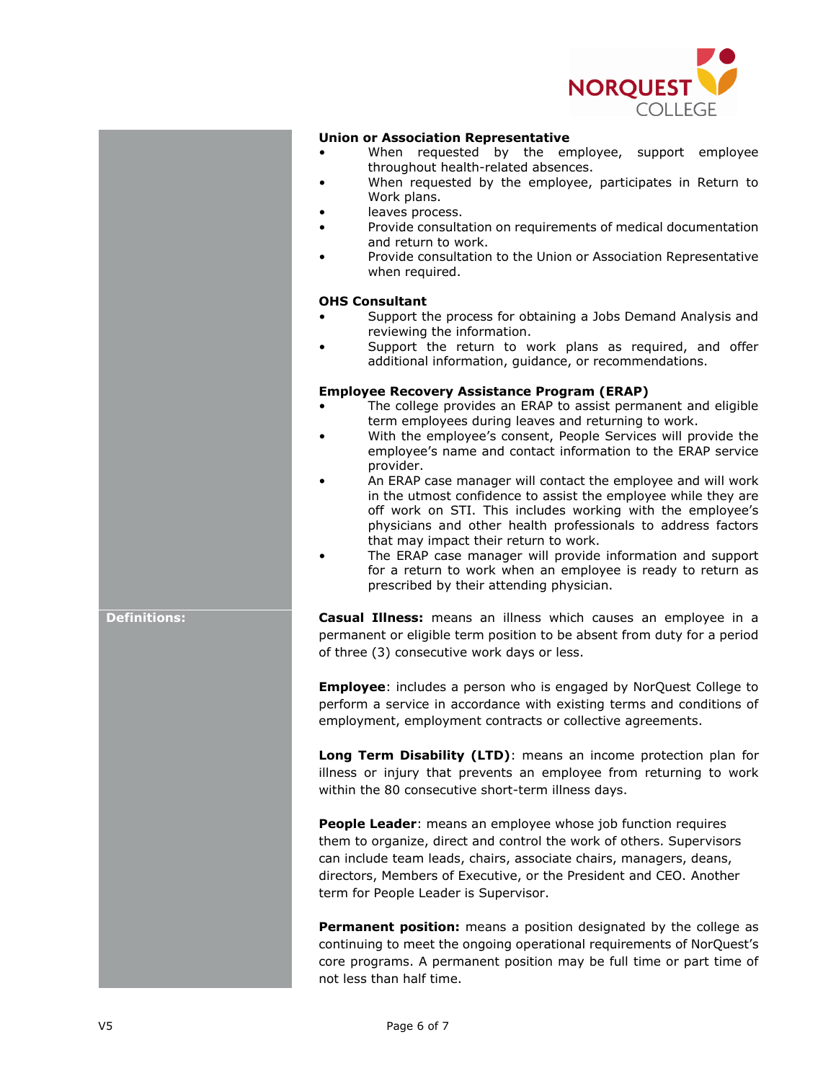

#### **Union or Association Representative**

- When requested by the employee, support employee throughout health-related absences.
- When requested by the employee, participates in Return to Work plans.
- leaves process.
- Provide consultation on requirements of medical documentation and return to work.
- Provide consultation to the Union or Association Representative when required.

## **OHS Consultant**

- Support the process for obtaining a Jobs Demand Analysis and reviewing the information.
- Support the return to work plans as required, and offer additional information, guidance, or recommendations.

#### **Employee Recovery Assistance Program (ERAP)**

- The college provides an ERAP to assist permanent and eligible term employees during leaves and returning to work.
- With the employee's consent, People Services will provide the employee's name and contact information to the ERAP service provider.
- An ERAP case manager will contact the employee and will work in the utmost confidence to assist the employee while they are off work on STI. This includes working with the employee's physicians and other health professionals to address factors that may impact their return to work.
- The ERAP case manager will provide information and support for a return to work when an employee is ready to return as prescribed by their attending physician.

**Definitions: Casual Illness:** means an illness which causes an employee in a permanent or eligible term position to be absent from duty for a period of three (3) consecutive work days or less.

> **Employee**: includes a person who is engaged by NorQuest College to perform a service in accordance with existing terms and conditions of employment, employment contracts or collective agreements.

> **Long Term Disability (LTD)**: means an income protection plan for illness or injury that prevents an employee from returning to work within the 80 consecutive short-term illness days.

**People Leader:** means an employee whose job function requires them to organize, direct and control the work of others. Supervisors can include team leads, chairs, associate chairs, managers, deans, directors, Members of Executive, or the President and CEO. Another term for People Leader is Supervisor.

**Permanent position:** means a position designated by the college as continuing to meet the ongoing operational requirements of NorQuest's core programs. A permanent position may be full time or part time of not less than half time.